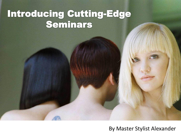# **Introducing Cutting-Edge<br>Seminars**

By Master Stylist Alexander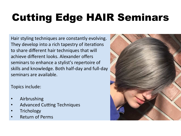#### Cutting Edge HAIR Seminars

Hair styling techniques are constantly evolving. They develop into a rich tapestry of iterations to share different hair techniques that will achieve different looks. Alexander offers seminars to enhance a stylist's repertoire of skills and knowledge. Both half-day and full-day seminars are available.

Topics include:

- Airbrushing
- Advanced Cutting Techniques
- **Trichology**
- **Return of Perms**

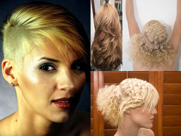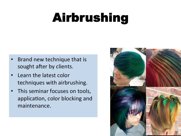# Airbrushing

- Brand new technique that is sought after by clients.
- Learn the latest color techniques with airbrushing.
- This seminar focuses on tools, application, color blocking and maintenance.

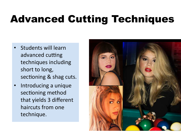#### Advanced Cutting Techniques

- Students will learn advanced cutting techniques including short to long, sectioning & shag cuts.
- Introducing a unique sectioning method that yields 3 different haircuts from one technique.

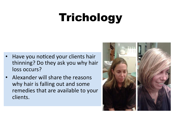### Trichology

- Have you noticed your clients hair thinning? Do they ask you why hair loss occurs?
- Alexander will share the reasons why hair is falling out and some remedies that are available to your clients.

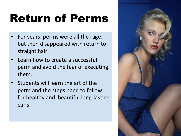## Return of Perms

- For years, perms were all the rage, but then disappeared with return to straight hair.
- Learn how to create a successful perm and avoid the fear of executing them.
- Students will learn the art of the perm and the steps need to follow for healthy and beautiful long-lasting curls.

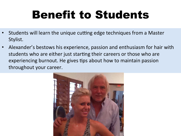#### Benefit to Students

- Students will learn the unique cutting edge techniques from a Master Stylist.
- Alexander's bestows his experience, passion and enthusiasm for hair with students who are either just starting their careers or those who are experiencing burnout. He gives tips about how to maintain passion throughout your career.

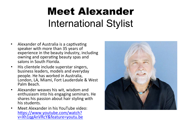#### Meet Alexander International Stylist

- Alexander of Australia is a captivating speaker with more than 35 years of experience in the beauty industry, including owning and operating beauty spas and salons in South Florida.
- His clientele include superstar singers, business leaders, models and everyday people. He has worked in Australia, London, LA, Miami, Fort Lauderdale & West Palm Beach.
- Alexander weaves his wit, wisdom and enthusiasm into his engaging seminars. He shares his passion about hair styling with his students.
- Meet Alexander in his YouTube video: https://www.youtube.com/watch? v=Xh1qgAnVRcY&feature=youtu.be